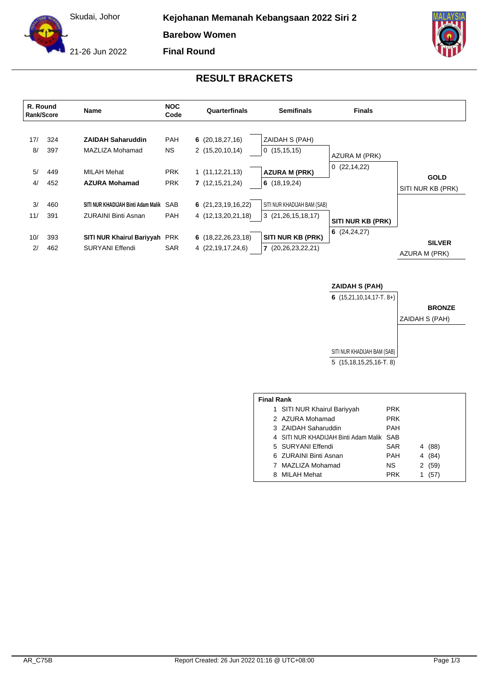Skudai, Johor

**Kejohanan Memanah Kebangsaan 2022 Siri 2**

**Barebow Women**

**Final Round**

21-26 Jun 2022





## **ZAIDAH S (PAH)**

**6** (15,21,10,14,17-T. 8+)

SITI NUR KHADIJAH BAM (SAB) ZAIDAH S (PAH)

5 (15,18,15,25,16-T. 8)

| <b>Final Rank</b> |  |  |
|-------------------|--|--|
|                   |  |  |

|  | 1 SITI NUR Khairul Bariyyah          | <b>PRK</b> |   |        |
|--|--------------------------------------|------------|---|--------|
|  | 2 AZURA Mohamad                      | <b>PRK</b> |   |        |
|  | 3 ZAIDAH Saharuddin                  | <b>PAH</b> |   |        |
|  | 4 SITI NUR KHADIJAH Binti Adam Malik | SAB        |   |        |
|  | 5 SURYANI Effendi                    | <b>SAR</b> |   | 4 (88) |
|  | 6 ZURAINI Binti Asnan                | <b>PAH</b> | 4 | (84)   |
|  | MAZLIZA Mohamad                      | NS.        |   | 2(59)  |
|  | 8 MILAH Mehat                        | <b>PRK</b> |   | (57)   |
|  |                                      |            |   |        |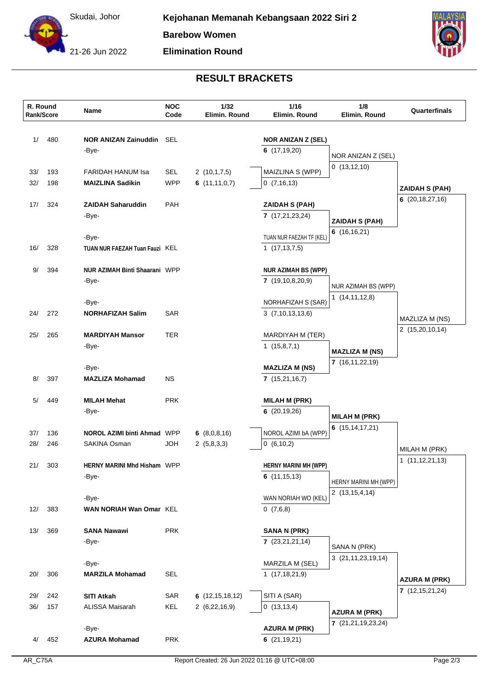

**Elimination Round**



## **RESULT BRACKETS**

| 480<br>1/<br><b>NOR ANIZAN Zainuddin SEL</b><br><b>NOR ANIZAN Z (SEL)</b><br>6(17,19,20)<br>-Bye-<br>NOR ANIZAN Z (SEL)<br>0(13, 12, 10)<br>193<br>FARIDAH HANUM Isa<br>SEL<br>2(10,1,7,5)<br>MAIZLINA S (WPP)<br>33/<br><b>WPP</b><br>32/<br>198<br><b>MAIZLINA Sadikin</b><br>6 $(11, 11, 0, 7)$<br>0(7,16,13)<br><b>ZAIDAH S (PAH)</b><br>6(20, 18, 27, 16)<br>PAH<br>17/<br>324<br><b>ZAIDAH Saharuddin</b><br><b>ZAIDAH S (PAH)</b><br>-Bye-<br>7(17,21,23,24)<br>ZAIDAH S (PAH)<br>6 $(16, 16, 21)$<br>TUAN NUR FAEZAH TF (KEL)<br>-Bye-<br>328<br>TUAN NUR FAEZAH Tuan Fauzi KEL<br>1(17, 13, 7, 5)<br>16/<br><b>NUR AZIMAH Binti Shaarani WPP</b><br>9/<br>394<br><b>NUR AZIMAH BS (WPP)</b><br>7(19,10,8,20,9)<br>-Bye-<br>NUR AZIMAH BS (WPP)<br>1(14,11,12,8)<br>NORHAFIZAH S (SAR)<br>-Bye-<br>272<br>24/<br>SAR<br>3(7,10,13,13,6)<br><b>NORHAFIZAH Salim</b><br>MAZLIZA M (NS)<br>2 (15,20,10,14)<br><b>TER</b><br>25/<br>265<br><b>MARDIYAH Mansor</b><br>MARDIYAH M (TER)<br>1(15,8,7,1)<br>-Bye-<br><b>MAZLIZA M (NS)</b><br>7(16,11,22,19)<br>-Bye-<br><b>MAZLIZA M (NS)</b><br>397<br><b>NS</b><br>8/<br><b>MAZLIZA Mohamad</b><br>7(15,21,16,7)<br><b>MILAH Mehat</b><br>5/<br>449<br><b>PRK</b><br><b>MILAH M (PRK)</b><br>6(20, 19, 26)<br>-Bye-<br><b>MILAH M (PRK)</b><br>6 $(15, 14, 17, 21)$<br>NOROL AZIMI bA (WPP)<br>37/<br>136<br><b>NOROL AZIMI binti Ahmad WPP</b><br>6 $(8,0,8,16)$<br>28/<br>246<br>SAKINA Osman<br><b>HOL</b><br>2(5,8,3,3)<br>0(6,10,2)<br>MILAH M (PRK)<br>1(11, 12, 21, 13)<br>21/<br>HERNY MARINI Mhd Hisham WPP<br>303<br><b>HERNY MARINI MH (WPP)</b><br>-Bye-<br>6(11,15,13)<br>HERNY MARINI MH (WPP)<br>2(13, 15, 4, 14)<br>WAN NORIAH WO (KEL)<br>-Bye-<br>0(7,6,8)<br>12/<br>383<br>WAN NORIAH Wan Omar KEL<br><b>SANA Nawawi</b><br><b>PRK</b><br>13/<br>369<br>SANA N (PRK)<br>7(23,21,21,14)<br>-Bye-<br>SANA N (PRK)<br>3 (21, 11, 23, 19, 14)<br>-Bye-<br>MARZILA M (SEL)<br>306<br>SEL<br>20/<br>1(17,18,21,9)<br><b>MARZILA Mohamad</b><br><b>AZURA M (PRK)</b><br>7(12, 15, 21, 24)<br><b>SITI Atkah</b><br>SAR<br>6(12, 15, 18, 12)<br>SITI A (SAR)<br>29/<br>242<br>36/<br>157<br>ALISSA Maisarah<br>KEL<br>2(6,22,16,9)<br>0(13, 13, 4)<br><b>AZURA M (PRK)</b><br>7 (21, 21, 19, 23, 24)<br>-Bye-<br><b>AZURA M (PRK)</b><br>452<br><b>PRK</b><br><b>AZURA Mohamad</b><br>6(21, 19, 21)<br>4/ | R. Round<br>Rank/Score | Name | <b>NOC</b><br>Code | 1/32<br>Elimin. Round | 1/16<br>Elimin. Round | 1/8<br>Elimin. Round | Quarterfinals |
|------------------------------------------------------------------------------------------------------------------------------------------------------------------------------------------------------------------------------------------------------------------------------------------------------------------------------------------------------------------------------------------------------------------------------------------------------------------------------------------------------------------------------------------------------------------------------------------------------------------------------------------------------------------------------------------------------------------------------------------------------------------------------------------------------------------------------------------------------------------------------------------------------------------------------------------------------------------------------------------------------------------------------------------------------------------------------------------------------------------------------------------------------------------------------------------------------------------------------------------------------------------------------------------------------------------------------------------------------------------------------------------------------------------------------------------------------------------------------------------------------------------------------------------------------------------------------------------------------------------------------------------------------------------------------------------------------------------------------------------------------------------------------------------------------------------------------------------------------------------------------------------------------------------------------------------------------------------------------------------------------------------------------------------------------------------------------------------------------------------------------------------------------------------------------------------------------------------------------------------------------------------------------------------------------------------------------------------------------------------------|------------------------|------|--------------------|-----------------------|-----------------------|----------------------|---------------|
|                                                                                                                                                                                                                                                                                                                                                                                                                                                                                                                                                                                                                                                                                                                                                                                                                                                                                                                                                                                                                                                                                                                                                                                                                                                                                                                                                                                                                                                                                                                                                                                                                                                                                                                                                                                                                                                                                                                                                                                                                                                                                                                                                                                                                                                                                                                                                                        |                        |      |                    |                       |                       |                      |               |
|                                                                                                                                                                                                                                                                                                                                                                                                                                                                                                                                                                                                                                                                                                                                                                                                                                                                                                                                                                                                                                                                                                                                                                                                                                                                                                                                                                                                                                                                                                                                                                                                                                                                                                                                                                                                                                                                                                                                                                                                                                                                                                                                                                                                                                                                                                                                                                        |                        |      |                    |                       |                       |                      |               |
|                                                                                                                                                                                                                                                                                                                                                                                                                                                                                                                                                                                                                                                                                                                                                                                                                                                                                                                                                                                                                                                                                                                                                                                                                                                                                                                                                                                                                                                                                                                                                                                                                                                                                                                                                                                                                                                                                                                                                                                                                                                                                                                                                                                                                                                                                                                                                                        |                        |      |                    |                       |                       |                      |               |
|                                                                                                                                                                                                                                                                                                                                                                                                                                                                                                                                                                                                                                                                                                                                                                                                                                                                                                                                                                                                                                                                                                                                                                                                                                                                                                                                                                                                                                                                                                                                                                                                                                                                                                                                                                                                                                                                                                                                                                                                                                                                                                                                                                                                                                                                                                                                                                        |                        |      |                    |                       |                       |                      |               |
|                                                                                                                                                                                                                                                                                                                                                                                                                                                                                                                                                                                                                                                                                                                                                                                                                                                                                                                                                                                                                                                                                                                                                                                                                                                                                                                                                                                                                                                                                                                                                                                                                                                                                                                                                                                                                                                                                                                                                                                                                                                                                                                                                                                                                                                                                                                                                                        |                        |      |                    |                       |                       |                      |               |
|                                                                                                                                                                                                                                                                                                                                                                                                                                                                                                                                                                                                                                                                                                                                                                                                                                                                                                                                                                                                                                                                                                                                                                                                                                                                                                                                                                                                                                                                                                                                                                                                                                                                                                                                                                                                                                                                                                                                                                                                                                                                                                                                                                                                                                                                                                                                                                        |                        |      |                    |                       |                       |                      |               |
|                                                                                                                                                                                                                                                                                                                                                                                                                                                                                                                                                                                                                                                                                                                                                                                                                                                                                                                                                                                                                                                                                                                                                                                                                                                                                                                                                                                                                                                                                                                                                                                                                                                                                                                                                                                                                                                                                                                                                                                                                                                                                                                                                                                                                                                                                                                                                                        |                        |      |                    |                       |                       |                      |               |
|                                                                                                                                                                                                                                                                                                                                                                                                                                                                                                                                                                                                                                                                                                                                                                                                                                                                                                                                                                                                                                                                                                                                                                                                                                                                                                                                                                                                                                                                                                                                                                                                                                                                                                                                                                                                                                                                                                                                                                                                                                                                                                                                                                                                                                                                                                                                                                        |                        |      |                    |                       |                       |                      |               |
|                                                                                                                                                                                                                                                                                                                                                                                                                                                                                                                                                                                                                                                                                                                                                                                                                                                                                                                                                                                                                                                                                                                                                                                                                                                                                                                                                                                                                                                                                                                                                                                                                                                                                                                                                                                                                                                                                                                                                                                                                                                                                                                                                                                                                                                                                                                                                                        |                        |      |                    |                       |                       |                      |               |
|                                                                                                                                                                                                                                                                                                                                                                                                                                                                                                                                                                                                                                                                                                                                                                                                                                                                                                                                                                                                                                                                                                                                                                                                                                                                                                                                                                                                                                                                                                                                                                                                                                                                                                                                                                                                                                                                                                                                                                                                                                                                                                                                                                                                                                                                                                                                                                        |                        |      |                    |                       |                       |                      |               |
|                                                                                                                                                                                                                                                                                                                                                                                                                                                                                                                                                                                                                                                                                                                                                                                                                                                                                                                                                                                                                                                                                                                                                                                                                                                                                                                                                                                                                                                                                                                                                                                                                                                                                                                                                                                                                                                                                                                                                                                                                                                                                                                                                                                                                                                                                                                                                                        |                        |      |                    |                       |                       |                      |               |
|                                                                                                                                                                                                                                                                                                                                                                                                                                                                                                                                                                                                                                                                                                                                                                                                                                                                                                                                                                                                                                                                                                                                                                                                                                                                                                                                                                                                                                                                                                                                                                                                                                                                                                                                                                                                                                                                                                                                                                                                                                                                                                                                                                                                                                                                                                                                                                        |                        |      |                    |                       |                       |                      |               |
|                                                                                                                                                                                                                                                                                                                                                                                                                                                                                                                                                                                                                                                                                                                                                                                                                                                                                                                                                                                                                                                                                                                                                                                                                                                                                                                                                                                                                                                                                                                                                                                                                                                                                                                                                                                                                                                                                                                                                                                                                                                                                                                                                                                                                                                                                                                                                                        |                        |      |                    |                       |                       |                      |               |
|                                                                                                                                                                                                                                                                                                                                                                                                                                                                                                                                                                                                                                                                                                                                                                                                                                                                                                                                                                                                                                                                                                                                                                                                                                                                                                                                                                                                                                                                                                                                                                                                                                                                                                                                                                                                                                                                                                                                                                                                                                                                                                                                                                                                                                                                                                                                                                        |                        |      |                    |                       |                       |                      |               |
|                                                                                                                                                                                                                                                                                                                                                                                                                                                                                                                                                                                                                                                                                                                                                                                                                                                                                                                                                                                                                                                                                                                                                                                                                                                                                                                                                                                                                                                                                                                                                                                                                                                                                                                                                                                                                                                                                                                                                                                                                                                                                                                                                                                                                                                                                                                                                                        |                        |      |                    |                       |                       |                      |               |
|                                                                                                                                                                                                                                                                                                                                                                                                                                                                                                                                                                                                                                                                                                                                                                                                                                                                                                                                                                                                                                                                                                                                                                                                                                                                                                                                                                                                                                                                                                                                                                                                                                                                                                                                                                                                                                                                                                                                                                                                                                                                                                                                                                                                                                                                                                                                                                        |                        |      |                    |                       |                       |                      |               |
|                                                                                                                                                                                                                                                                                                                                                                                                                                                                                                                                                                                                                                                                                                                                                                                                                                                                                                                                                                                                                                                                                                                                                                                                                                                                                                                                                                                                                                                                                                                                                                                                                                                                                                                                                                                                                                                                                                                                                                                                                                                                                                                                                                                                                                                                                                                                                                        |                        |      |                    |                       |                       |                      |               |
|                                                                                                                                                                                                                                                                                                                                                                                                                                                                                                                                                                                                                                                                                                                                                                                                                                                                                                                                                                                                                                                                                                                                                                                                                                                                                                                                                                                                                                                                                                                                                                                                                                                                                                                                                                                                                                                                                                                                                                                                                                                                                                                                                                                                                                                                                                                                                                        |                        |      |                    |                       |                       |                      |               |
|                                                                                                                                                                                                                                                                                                                                                                                                                                                                                                                                                                                                                                                                                                                                                                                                                                                                                                                                                                                                                                                                                                                                                                                                                                                                                                                                                                                                                                                                                                                                                                                                                                                                                                                                                                                                                                                                                                                                                                                                                                                                                                                                                                                                                                                                                                                                                                        |                        |      |                    |                       |                       |                      |               |
|                                                                                                                                                                                                                                                                                                                                                                                                                                                                                                                                                                                                                                                                                                                                                                                                                                                                                                                                                                                                                                                                                                                                                                                                                                                                                                                                                                                                                                                                                                                                                                                                                                                                                                                                                                                                                                                                                                                                                                                                                                                                                                                                                                                                                                                                                                                                                                        |                        |      |                    |                       |                       |                      |               |
|                                                                                                                                                                                                                                                                                                                                                                                                                                                                                                                                                                                                                                                                                                                                                                                                                                                                                                                                                                                                                                                                                                                                                                                                                                                                                                                                                                                                                                                                                                                                                                                                                                                                                                                                                                                                                                                                                                                                                                                                                                                                                                                                                                                                                                                                                                                                                                        |                        |      |                    |                       |                       |                      |               |
|                                                                                                                                                                                                                                                                                                                                                                                                                                                                                                                                                                                                                                                                                                                                                                                                                                                                                                                                                                                                                                                                                                                                                                                                                                                                                                                                                                                                                                                                                                                                                                                                                                                                                                                                                                                                                                                                                                                                                                                                                                                                                                                                                                                                                                                                                                                                                                        |                        |      |                    |                       |                       |                      |               |
|                                                                                                                                                                                                                                                                                                                                                                                                                                                                                                                                                                                                                                                                                                                                                                                                                                                                                                                                                                                                                                                                                                                                                                                                                                                                                                                                                                                                                                                                                                                                                                                                                                                                                                                                                                                                                                                                                                                                                                                                                                                                                                                                                                                                                                                                                                                                                                        |                        |      |                    |                       |                       |                      |               |
|                                                                                                                                                                                                                                                                                                                                                                                                                                                                                                                                                                                                                                                                                                                                                                                                                                                                                                                                                                                                                                                                                                                                                                                                                                                                                                                                                                                                                                                                                                                                                                                                                                                                                                                                                                                                                                                                                                                                                                                                                                                                                                                                                                                                                                                                                                                                                                        |                        |      |                    |                       |                       |                      |               |
|                                                                                                                                                                                                                                                                                                                                                                                                                                                                                                                                                                                                                                                                                                                                                                                                                                                                                                                                                                                                                                                                                                                                                                                                                                                                                                                                                                                                                                                                                                                                                                                                                                                                                                                                                                                                                                                                                                                                                                                                                                                                                                                                                                                                                                                                                                                                                                        |                        |      |                    |                       |                       |                      |               |
|                                                                                                                                                                                                                                                                                                                                                                                                                                                                                                                                                                                                                                                                                                                                                                                                                                                                                                                                                                                                                                                                                                                                                                                                                                                                                                                                                                                                                                                                                                                                                                                                                                                                                                                                                                                                                                                                                                                                                                                                                                                                                                                                                                                                                                                                                                                                                                        |                        |      |                    |                       |                       |                      |               |
|                                                                                                                                                                                                                                                                                                                                                                                                                                                                                                                                                                                                                                                                                                                                                                                                                                                                                                                                                                                                                                                                                                                                                                                                                                                                                                                                                                                                                                                                                                                                                                                                                                                                                                                                                                                                                                                                                                                                                                                                                                                                                                                                                                                                                                                                                                                                                                        |                        |      |                    |                       |                       |                      |               |
|                                                                                                                                                                                                                                                                                                                                                                                                                                                                                                                                                                                                                                                                                                                                                                                                                                                                                                                                                                                                                                                                                                                                                                                                                                                                                                                                                                                                                                                                                                                                                                                                                                                                                                                                                                                                                                                                                                                                                                                                                                                                                                                                                                                                                                                                                                                                                                        |                        |      |                    |                       |                       |                      |               |
|                                                                                                                                                                                                                                                                                                                                                                                                                                                                                                                                                                                                                                                                                                                                                                                                                                                                                                                                                                                                                                                                                                                                                                                                                                                                                                                                                                                                                                                                                                                                                                                                                                                                                                                                                                                                                                                                                                                                                                                                                                                                                                                                                                                                                                                                                                                                                                        |                        |      |                    |                       |                       |                      |               |
|                                                                                                                                                                                                                                                                                                                                                                                                                                                                                                                                                                                                                                                                                                                                                                                                                                                                                                                                                                                                                                                                                                                                                                                                                                                                                                                                                                                                                                                                                                                                                                                                                                                                                                                                                                                                                                                                                                                                                                                                                                                                                                                                                                                                                                                                                                                                                                        |                        |      |                    |                       |                       |                      |               |
|                                                                                                                                                                                                                                                                                                                                                                                                                                                                                                                                                                                                                                                                                                                                                                                                                                                                                                                                                                                                                                                                                                                                                                                                                                                                                                                                                                                                                                                                                                                                                                                                                                                                                                                                                                                                                                                                                                                                                                                                                                                                                                                                                                                                                                                                                                                                                                        |                        |      |                    |                       |                       |                      |               |
|                                                                                                                                                                                                                                                                                                                                                                                                                                                                                                                                                                                                                                                                                                                                                                                                                                                                                                                                                                                                                                                                                                                                                                                                                                                                                                                                                                                                                                                                                                                                                                                                                                                                                                                                                                                                                                                                                                                                                                                                                                                                                                                                                                                                                                                                                                                                                                        |                        |      |                    |                       |                       |                      |               |
|                                                                                                                                                                                                                                                                                                                                                                                                                                                                                                                                                                                                                                                                                                                                                                                                                                                                                                                                                                                                                                                                                                                                                                                                                                                                                                                                                                                                                                                                                                                                                                                                                                                                                                                                                                                                                                                                                                                                                                                                                                                                                                                                                                                                                                                                                                                                                                        |                        |      |                    |                       |                       |                      |               |
|                                                                                                                                                                                                                                                                                                                                                                                                                                                                                                                                                                                                                                                                                                                                                                                                                                                                                                                                                                                                                                                                                                                                                                                                                                                                                                                                                                                                                                                                                                                                                                                                                                                                                                                                                                                                                                                                                                                                                                                                                                                                                                                                                                                                                                                                                                                                                                        |                        |      |                    |                       |                       |                      |               |
|                                                                                                                                                                                                                                                                                                                                                                                                                                                                                                                                                                                                                                                                                                                                                                                                                                                                                                                                                                                                                                                                                                                                                                                                                                                                                                                                                                                                                                                                                                                                                                                                                                                                                                                                                                                                                                                                                                                                                                                                                                                                                                                                                                                                                                                                                                                                                                        |                        |      |                    |                       |                       |                      |               |
|                                                                                                                                                                                                                                                                                                                                                                                                                                                                                                                                                                                                                                                                                                                                                                                                                                                                                                                                                                                                                                                                                                                                                                                                                                                                                                                                                                                                                                                                                                                                                                                                                                                                                                                                                                                                                                                                                                                                                                                                                                                                                                                                                                                                                                                                                                                                                                        |                        |      |                    |                       |                       |                      |               |
|                                                                                                                                                                                                                                                                                                                                                                                                                                                                                                                                                                                                                                                                                                                                                                                                                                                                                                                                                                                                                                                                                                                                                                                                                                                                                                                                                                                                                                                                                                                                                                                                                                                                                                                                                                                                                                                                                                                                                                                                                                                                                                                                                                                                                                                                                                                                                                        |                        |      |                    |                       |                       |                      |               |
|                                                                                                                                                                                                                                                                                                                                                                                                                                                                                                                                                                                                                                                                                                                                                                                                                                                                                                                                                                                                                                                                                                                                                                                                                                                                                                                                                                                                                                                                                                                                                                                                                                                                                                                                                                                                                                                                                                                                                                                                                                                                                                                                                                                                                                                                                                                                                                        |                        |      |                    |                       |                       |                      |               |
|                                                                                                                                                                                                                                                                                                                                                                                                                                                                                                                                                                                                                                                                                                                                                                                                                                                                                                                                                                                                                                                                                                                                                                                                                                                                                                                                                                                                                                                                                                                                                                                                                                                                                                                                                                                                                                                                                                                                                                                                                                                                                                                                                                                                                                                                                                                                                                        |                        |      |                    |                       |                       |                      |               |
|                                                                                                                                                                                                                                                                                                                                                                                                                                                                                                                                                                                                                                                                                                                                                                                                                                                                                                                                                                                                                                                                                                                                                                                                                                                                                                                                                                                                                                                                                                                                                                                                                                                                                                                                                                                                                                                                                                                                                                                                                                                                                                                                                                                                                                                                                                                                                                        |                        |      |                    |                       |                       |                      |               |
|                                                                                                                                                                                                                                                                                                                                                                                                                                                                                                                                                                                                                                                                                                                                                                                                                                                                                                                                                                                                                                                                                                                                                                                                                                                                                                                                                                                                                                                                                                                                                                                                                                                                                                                                                                                                                                                                                                                                                                                                                                                                                                                                                                                                                                                                                                                                                                        |                        |      |                    |                       |                       |                      |               |
|                                                                                                                                                                                                                                                                                                                                                                                                                                                                                                                                                                                                                                                                                                                                                                                                                                                                                                                                                                                                                                                                                                                                                                                                                                                                                                                                                                                                                                                                                                                                                                                                                                                                                                                                                                                                                                                                                                                                                                                                                                                                                                                                                                                                                                                                                                                                                                        |                        |      |                    |                       |                       |                      |               |
|                                                                                                                                                                                                                                                                                                                                                                                                                                                                                                                                                                                                                                                                                                                                                                                                                                                                                                                                                                                                                                                                                                                                                                                                                                                                                                                                                                                                                                                                                                                                                                                                                                                                                                                                                                                                                                                                                                                                                                                                                                                                                                                                                                                                                                                                                                                                                                        |                        |      |                    |                       |                       |                      |               |
|                                                                                                                                                                                                                                                                                                                                                                                                                                                                                                                                                                                                                                                                                                                                                                                                                                                                                                                                                                                                                                                                                                                                                                                                                                                                                                                                                                                                                                                                                                                                                                                                                                                                                                                                                                                                                                                                                                                                                                                                                                                                                                                                                                                                                                                                                                                                                                        |                        |      |                    |                       |                       |                      |               |
|                                                                                                                                                                                                                                                                                                                                                                                                                                                                                                                                                                                                                                                                                                                                                                                                                                                                                                                                                                                                                                                                                                                                                                                                                                                                                                                                                                                                                                                                                                                                                                                                                                                                                                                                                                                                                                                                                                                                                                                                                                                                                                                                                                                                                                                                                                                                                                        |                        |      |                    |                       |                       |                      |               |